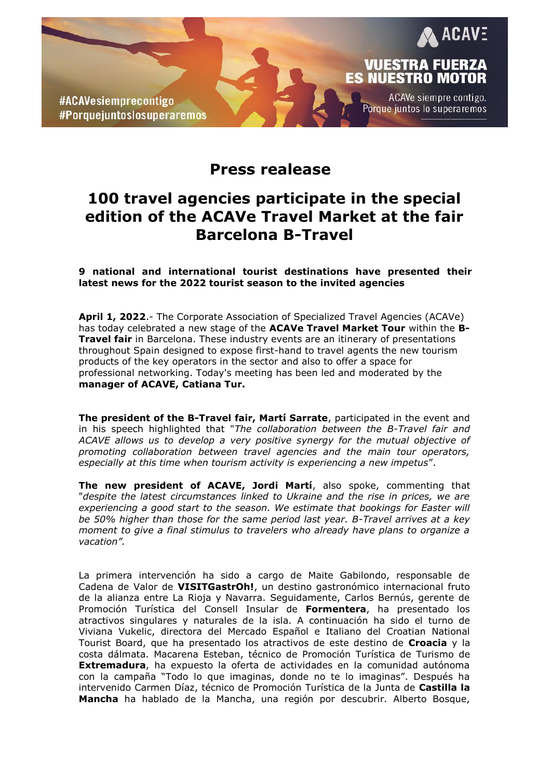



**ACAVE** 

Vuestra fuerza **ES NUESTRO MOTOR** 

Porque juntos lo superaremos

ACAVe siempre contigo.

## **100 travel agencies participate in the special edition of the ACAVe Travel Market at the fair Barcelona B-Travel**

**9 national and international tourist destinations have presented their latest news for the 2022 tourist season to the invited agencies**

**April 1, 2022**.- The Corporate Association of Specialized Travel Agencies (ACAVe) has today celebrated a new stage of the **ACAVe Travel Market Tour** within the **B-Travel fair** in Barcelona. These industry events are an itinerary of presentations throughout Spain designed to expose first-hand to travel agents the new tourism products of the key operators in the sector and also to offer a space for professional networking. Today's meeting has been led and moderated by the **manager of ACAVE, Catiana Tur.**

**The president of the B-Travel fair, Martí Sarrate**, participated in the event and in his speech highlighted that "*The collaboration between the B-Travel fair and ACAVE allows us to develop a very positive synergy for the mutual objective of promoting collaboration between travel agencies and the main tour operators, especially at this time when tourism activity is experiencing a new impetus*".

**The new president of ACAVE, Jordi Martí**, also spoke, commenting that "*despite the latest circumstances linked to Ukraine and the rise in prices, we are experiencing a good start to the season. We estimate that bookings for Easter will be 50% higher than those for the same period last year. B-Travel arrives at a key moment to give a final stimulus to travelers who already have plans to organize a vacation".*

La primera intervención ha sido a cargo de Maite Gabilondo, responsable de Cadena de Valor de **VISITGastrOh!**, un destino gastronómico internacional fruto de la alianza entre La Rioja y Navarra. Seguidamente, Carlos Bernús, gerente de Promoción Turística del Consell Insular de **Formentera**, ha presentado los atractivos singulares y naturales de la isla. A continuación ha sido el turno de Viviana Vukelic, directora del Mercado Español e Italiano del Croatian National Tourist Board, que ha presentado los atractivos de este destino de **Croacia** y la costa dálmata. Macarena Esteban, técnico de Promoción Turística de Turismo de **Extremadura**, ha expuesto la oferta de actividades en la comunidad autónoma con la campaña "Todo lo que imaginas, donde no te lo imaginas". Después ha intervenido Carmen Díaz, técnico de Promoción Turística de la Junta de **Castilla la Mancha** ha hablado de la Mancha, una región por descubrir. Alberto Bosque,